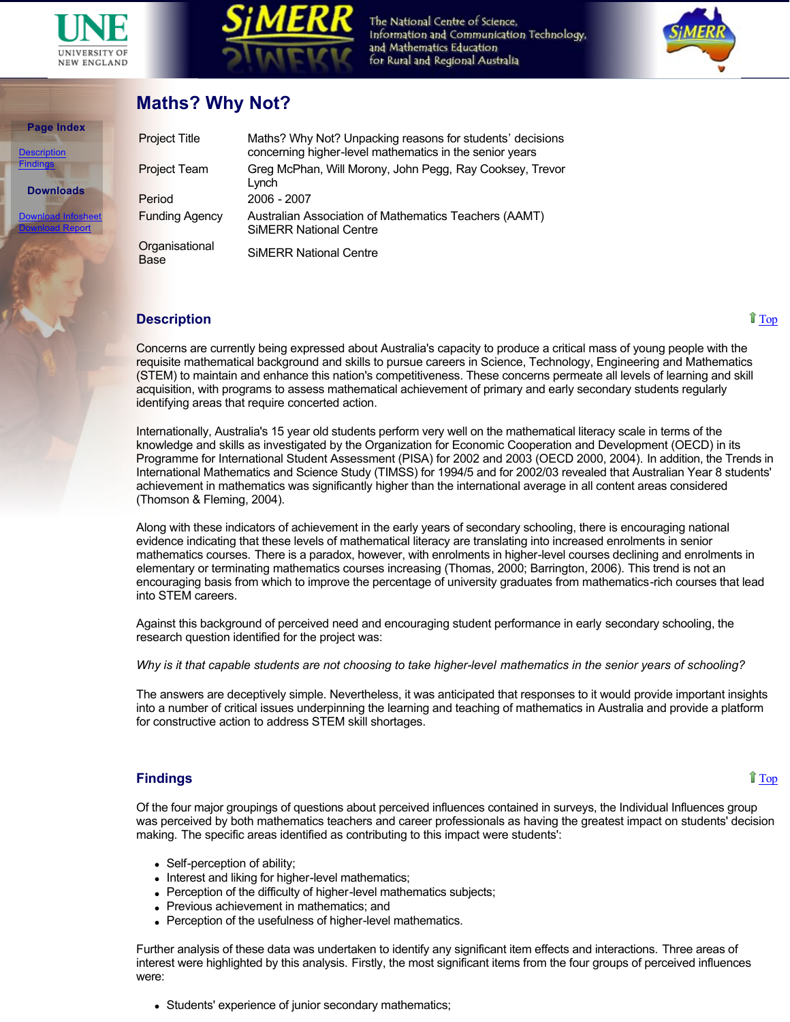

**Page Index**

**Downloads**

[Download Infosheet](http://www.une.edu.au/simerr/pages/projects/10mathswhynot.pdf) [Download Report](http://www.une.edu.au/simerr/pages/projects/10mathswhynotreport.pdf)

scription [Findings](http://www.une.edu.au/simerr/pages/projects/10mathswhynot.php#Findings)



The National Centre of Science, Information and Communication Technology, and Mathematics Education for Rural and Regional Australia



## **Maths? Why Not?**

| <b>Project Title</b>          | Maths? Why Not? Unpacking reasons for students' decisions<br>concerning higher-level mathematics in the senior years |
|-------------------------------|----------------------------------------------------------------------------------------------------------------------|
| Project Team                  | Greg McPhan, Will Morony, John Pegg, Ray Cooksey, Trevor<br>Lynch                                                    |
| Period                        | $2006 - 2007$                                                                                                        |
| <b>Funding Agency</b>         | Australian Association of Mathematics Teachers (AAMT)<br><b>SIMERR National Centre</b>                               |
| Organisational<br><b>Base</b> | <b>SIMERR National Centre</b>                                                                                        |

## **Description**

Concerns are currently being expressed about Australia's capacity to produce a critical mass of young people with the requisite mathematical background and skills to pursue careers in Science, Technology, Engineering and Mathematics (STEM) to maintain and enhance this nation's competitiveness. These concerns permeate all levels of learning and skill acquisition, with programs to assess mathematical achievement of primary and early secondary students regularly identifying areas that require concerted action.

Internationally, Australia's 15 year old students perform very well on the mathematical literacy scale in terms of the knowledge and skills as investigated by the Organization for Economic Cooperation and Development (OECD) in its Programme for International Student Assessment (PISA) for 2002 and 2003 (OECD 2000, 2004). In addition, the Trends in International Mathematics and Science Study (TIMSS) for 1994/5 and for 2002/03 revealed that Australian Year 8 students' achievement in mathematics was significantly higher than the international average in all content areas considered (Thomson & Fleming, 2004).

Along with these indicators of achievement in the early years of secondary schooling, there is encouraging national evidence indicating that these levels of mathematical literacy are translating into increased enrolments in senior mathematics courses. There is a paradox, however, with enrolments in higher-level courses declining and enrolments in elementary or terminating mathematics courses increasing (Thomas, 2000; Barrington, 2006). This trend is not an encouraging basis from which to improve the percentage of university graduates from mathematics-rich courses that lead into STEM careers.

Against this background of perceived need and encouraging student performance in early secondary schooling, the research question identified for the project was:

*Why is it that capable students are not choosing to take higher-level mathematics in the senior years of schooling?* 

The answers are deceptively simple. Nevertheless, it was anticipated that responses to it would provide important insights into a number of critical issues underpinning the learning and teaching of mathematics in Australia and provide a platform for constructive action to address STEM skill shortages.

## **Findings**

## **[Top](http://www.une.edu.au/simerr/pages/projects/10mathswhynot.php#top)**

Of the four major groupings of questions about perceived influences contained in surveys, the Individual Influences group was perceived by both mathematics teachers and career professionals as having the greatest impact on students' decision making. The specific areas identified as contributing to this impact were students':

- $\bullet$  Self-perception of ability;
- Interest and liking for higher-level mathematics;
- Perception of the difficulty of higher-level mathematics subjects;
- Previous achievement in mathematics; and
- Perception of the usefulness of higher-level mathematics.

Further analysis of these data was undertaken to identify any significant item effects and interactions. Three areas of interest were highlighted by this analysis. Firstly, the most significant items from the four groups of perceived influences were:

• Students' experience of junior secondary mathematics;

[Top](http://www.une.edu.au/simerr/pages/projects/10mathswhynot.php#top)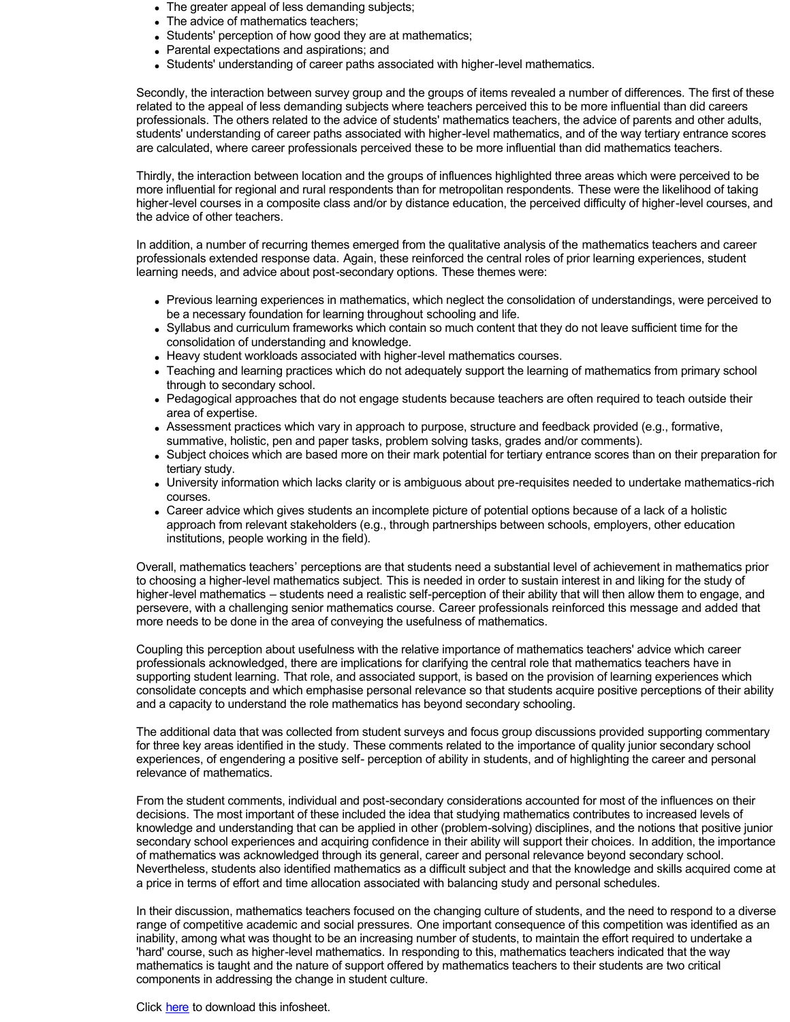- The greater appeal of less demanding subjects;
- The advice of mathematics teachers;
- Students' perception of how good they are at mathematics;
- Parental expectations and aspirations; and
- Students' understanding of career paths associated with higher-level mathematics.

Secondly, the interaction between survey group and the groups of items revealed a number of differences. The first of these related to the appeal of less demanding subjects where teachers perceived this to be more influential than did careers professionals. The others related to the advice of students' mathematics teachers, the advice of parents and other adults, students' understanding of career paths associated with higher-level mathematics, and of the way tertiary entrance scores are calculated, where career professionals perceived these to be more influential than did mathematics teachers.

Thirdly, the interaction between location and the groups of influences highlighted three areas which were perceived to be more influential for regional and rural respondents than for metropolitan respondents. These were the likelihood of taking higher-level courses in a composite class and/or by distance education, the perceived difficulty of higher-level courses, and the advice of other teachers.

In addition, a number of recurring themes emerged from the qualitative analysis of the mathematics teachers and career professionals extended response data. Again, these reinforced the central roles of prior learning experiences, student learning needs, and advice about post-secondary options. These themes were:

- Previous learning experiences in mathematics, which neglect the consolidation of understandings, were perceived to be a necessary foundation for learning throughout schooling and life.
- Syllabus and curriculum frameworks which contain so much content that they do not leave sufficient time for the consolidation of understanding and knowledge.
- Heavy student workloads associated with higher-level mathematics courses.
- Teaching and learning practices which do not adequately support the learning of mathematics from primary school through to secondary school.
- Pedagogical approaches that do not engage students because teachers are often required to teach outside their area of expertise.
- Assessment practices which vary in approach to purpose, structure and feedback provided (e.g., formative, summative, holistic, pen and paper tasks, problem solving tasks, grades and/or comments).
- Subject choices which are based more on their mark potential for tertiary entrance scores than on their preparation for tertiary study.
- University information which lacks clarity or is ambiguous about pre-requisites needed to undertake mathematics-rich courses.
- Career advice which gives students an incomplete picture of potential options because of a lack of a holistic approach from relevant stakeholders (e.g., through partnerships between schools, employers, other education institutions, people working in the field).

Overall, mathematics teachers' perceptions are that students need a substantial level of achievement in mathematics prior to choosing a higher-level mathematics subject. This is needed in order to sustain interest in and liking for the study of higher-level mathematics – students need a realistic self-perception of their ability that will then allow them to engage, and persevere, with a challenging senior mathematics course. Career professionals reinforced this message and added that more needs to be done in the area of conveying the usefulness of mathematics.

Coupling this perception about usefulness with the relative importance of mathematics teachers' advice which career professionals acknowledged, there are implications for clarifying the central role that mathematics teachers have in supporting student learning. That role, and associated support, is based on the provision of learning experiences which consolidate concepts and which emphasise personal relevance so that students acquire positive perceptions of their ability and a capacity to understand the role mathematics has beyond secondary schooling.

The additional data that was collected from student surveys and focus group discussions provided supporting commentary for three key areas identified in the study. These comments related to the importance of quality junior secondary school experiences, of engendering a positive self- perception of ability in students, and of highlighting the career and personal relevance of mathematics.

From the student comments, individual and post-secondary considerations accounted for most of the influences on their decisions. The most important of these included the idea that studying mathematics contributes to increased levels of knowledge and understanding that can be applied in other (problem-solving) disciplines, and the notions that positive junior secondary school experiences and acquiring confidence in their ability will support their choices. In addition, the importance of mathematics was acknowledged through its general, career and personal relevance beyond secondary school. Nevertheless, students also identified mathematics as a difficult subject and that the knowledge and skills acquired come at a price in terms of effort and time allocation associated with balancing study and personal schedules.

In their discussion, mathematics teachers focused on the changing culture of students, and the need to respond to a diverse range of competitive academic and social pressures. One important consequence of this competition was identified as an inability, among what was thought to be an increasing number of students, to maintain the effort required to undertake a 'hard' course, such as higher-level mathematics. In responding to this, mathematics teachers indicated that the way mathematics is taught and the nature of support offered by mathematics teachers to their students are two critical components in addressing the change in student culture.

Click [here](http://www.une.edu.au/simerr/pages/projects/10mathswhynot.pdf) to download this infosheet.